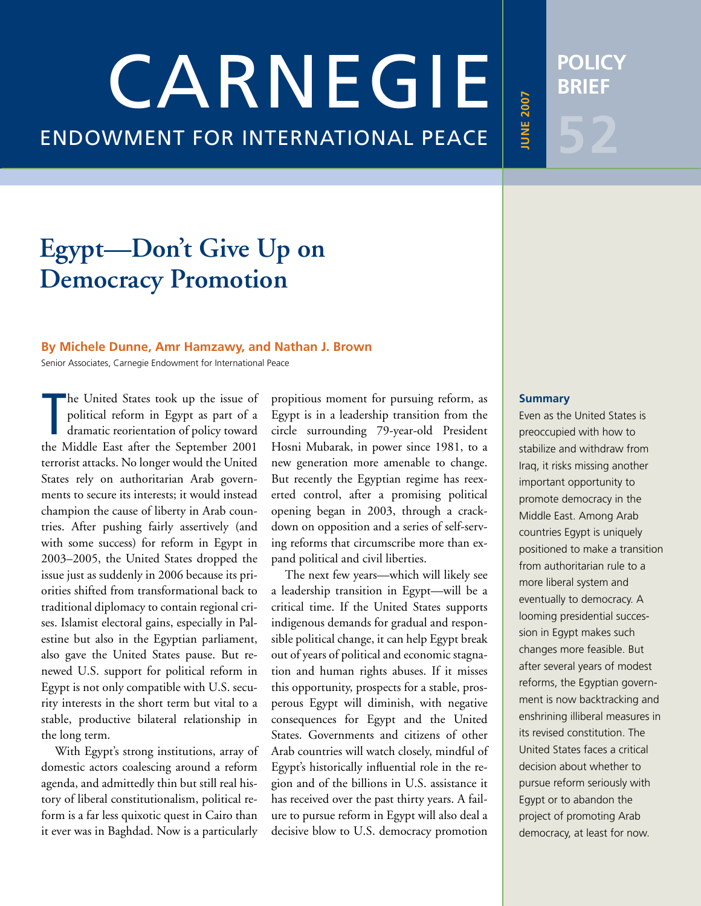# Endowment FOR International PEACE CARNEGIE

**Policy Brief**

**June 2007**

**IUNE 2007** 

## **Egypt—Don't Give Up on Democracy Promotion**

## **By Michele Dunne, Amr Hamzawy, and Nathan J. Brown**

Senior Associates, Carnegie Endowment for International Peace

The United States took up the issue of<br>political reform in Egypt as part of a<br>dramatic reorientation of policy toward<br>the Middle East after the September 2001 he United States took up the issue of political reform in Egypt as part of a dramatic reorientation of policy toward terrorist attacks. No longer would the United States rely on authoritarian Arab governments to secure its interests; it would instead champion the cause of liberty in Arab countries. After pushing fairly assertively (and with some success) for reform in Egypt in 2003–2005, the United States dropped the issue just as suddenly in 2006 because its priorities shifted from transformational back to traditional diplomacy to contain regional crises. Islamist electoral gains, especially in Palestine but also in the Egyptian parliament, also gave the United States pause. But renewed U.S. support for political reform in Egypt is not only compatible with U.S. security interests in the short term but vital to a stable, productive bilateral relationship in the long term.

With Egypt's strong institutions, array of domestic actors coalescing around a reform agenda, and admittedly thin but still real history of liberal constitutionalism, political reform is a far less quixotic quest in Cairo than it ever was in Baghdad. Now is a particularly

propitious moment for pursuing reform, as Egypt is in a leadership transition from the circle surrounding 79-year-old President Hosni Mubarak, in power since 1981, to a new generation more amenable to change. But recently the Egyptian regime has reexerted control, after a promising political opening began in 2003, through a crackdown on opposition and a series of self-serving reforms that circumscribe more than expand political and civil liberties.

The next few years—which will likely see a leadership transition in Egypt—will be a critical time. If the United States supports indigenous demands for gradual and responsible political change, it can help Egypt break out of years of political and economic stagnation and human rights abuses. If it misses this opportunity, prospects for a stable, prosperous Egypt will diminish, with negative consequences for Egypt and the United States. Governments and citizens of other Arab countries will watch closely, mindful of Egypt's historically influential role in the region and of the billions in U.S. assistance it has received over the past thirty years. A failure to pursue reform in Egypt will also deal a decisive blow to U.S. democracy promotion

#### **Summary**

Even as the United States is preoccupied with how to stabilize and withdraw from Iraq, it risks missing another important opportunity to promote democracy in the Middle East. Among Arab countries Egypt is uniquely positioned to make a transition from authoritarian rule to a more liberal system and eventually to democracy. A looming presidential succession in Egypt makes such changes more feasible. But after several years of modest reforms, the Egyptian government is now backtracking and enshrining illiberal measures in its revised constitution. The United States faces a critical decision about whether to pursue reform seriously with Egypt or to abandon the project of promoting Arab democracy, at least for now.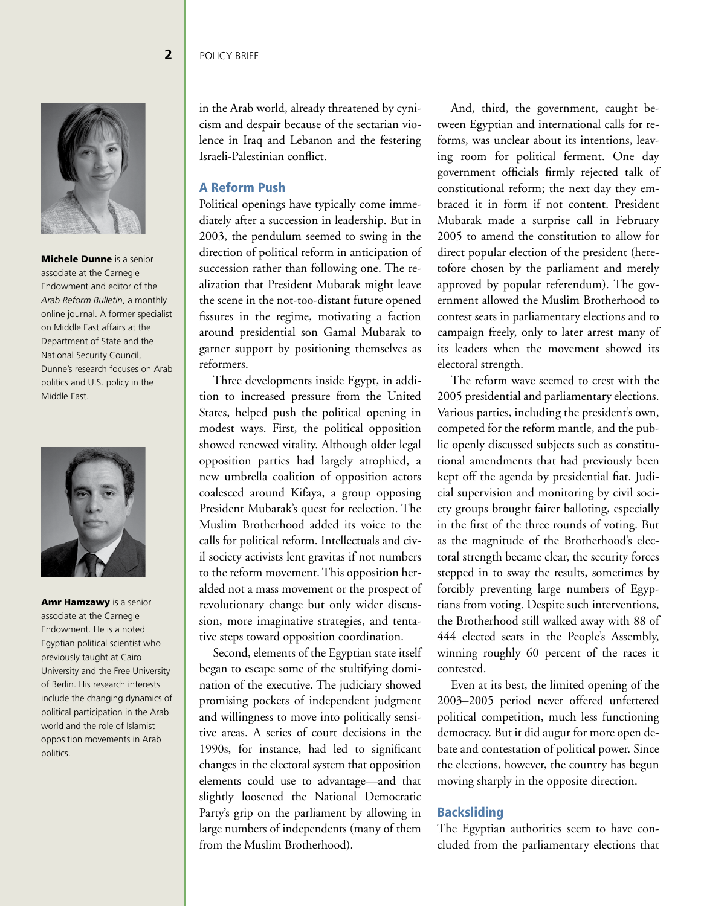

**Michele Dunne** is a senior associate at the Carnegie Endowment and editor of the *Arab Reform Bulletin*, a monthly online journal. A former specialist on Middle East affairs at the Department of State and the National Security Council, Dunne's research focuses on Arab politics and U.S. policy in the Middle East.



Amr Hamzawy is a senior associate at the Carnegie Endowment. He is a noted Egyptian political scientist who previously taught at Cairo University and the Free University of Berlin. His research interests include the changing dynamics of political participation in the Arab world and the role of Islamist opposition movements in Arab politics.

in the Arab world, already threatened by cynicism and despair because of the sectarian violence in Iraq and Lebanon and the festering Israeli-Palestinian conflict.

## A Reform Push

Political openings have typically come immediately after a succession in leadership. But in 2003, the pendulum seemed to swing in the direction of political reform in anticipation of succession rather than following one. The realization that President Mubarak might leave the scene in the not-too-distant future opened fissures in the regime, motivating a faction around presidential son Gamal Mubarak to garner support by positioning themselves as reformers.

Three developments inside Egypt, in addition to increased pressure from the United States, helped push the political opening in modest ways. First, the political opposition showed renewed vitality. Although older legal opposition parties had largely atrophied, a new umbrella coalition of opposition actors coalesced around Kifaya, a group opposing President Mubarak's quest for reelection. The Muslim Brotherhood added its voice to the calls for political reform. Intellectuals and civil society activists lent gravitas if not numbers to the reform movement. This opposition heralded not a mass movement or the prospect of revolutionary change but only wider discussion, more imaginative strategies, and tentative steps toward opposition coordination.

Second, elements of the Egyptian state itself began to escape some of the stultifying domination of the executive. The judiciary showed promising pockets of independent judgment and willingness to move into politically sensitive areas. A series of court decisions in the 1990s, for instance, had led to significant changes in the electoral system that opposition elements could use to advantage—and that slightly loosened the National Democratic Party's grip on the parliament by allowing in large numbers of independents (many of them from the Muslim Brotherhood).

And, third, the government, caught between Egyptian and international calls for reforms, was unclear about its intentions, leaving room for political ferment. One day government officials firmly rejected talk of constitutional reform; the next day they embraced it in form if not content. President Mubarak made a surprise call in February 2005 to amend the constitution to allow for direct popular election of the president (heretofore chosen by the parliament and merely approved by popular referendum). The government allowed the Muslim Brotherhood to contest seats in parliamentary elections and to campaign freely, only to later arrest many of its leaders when the movement showed its electoral strength.

The reform wave seemed to crest with the 2005 presidential and parliamentary elections. Various parties, including the president's own, competed for the reform mantle, and the public openly discussed subjects such as constitutional amendments that had previously been kept off the agenda by presidential fiat. Judicial supervision and monitoring by civil society groups brought fairer balloting, especially in the first of the three rounds of voting. But as the magnitude of the Brotherhood's electoral strength became clear, the security forces stepped in to sway the results, sometimes by forcibly preventing large numbers of Egyptians from voting. Despite such interventions, the Brotherhood still walked away with 88 of 444 elected seats in the People's Assembly, winning roughly 60 percent of the races it contested.

Even at its best, the limited opening of the 2003–2005 period never offered unfettered political competition, much less functioning democracy. But it did augur for more open debate and contestation of political power. Since the elections, however, the country has begun moving sharply in the opposite direction.

## Backsliding

The Egyptian authorities seem to have concluded from the parliamentary elections that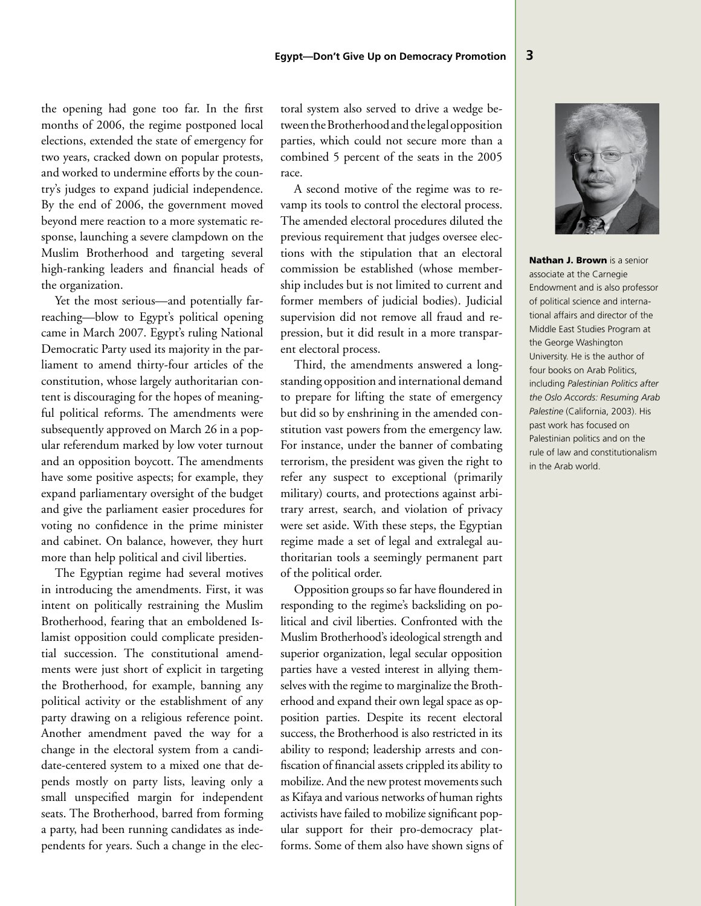the opening had gone too far. In the first months of 2006, the regime postponed local elections, extended the state of emergency for two years, cracked down on popular protests, and worked to undermine efforts by the country's judges to expand judicial independence. By the end of 2006, the government moved beyond mere reaction to a more systematic response, launching a severe clampdown on the Muslim Brotherhood and targeting several high-ranking leaders and financial heads of the organization.

Yet the most serious—and potentially farreaching—blow to Egypt's political opening came in March 2007. Egypt's ruling National Democratic Party used its majority in the parliament to amend thirty-four articles of the constitution, whose largely authoritarian content is discouraging for the hopes of meaningful political reforms. The amendments were subsequently approved on March 26 in a popular referendum marked by low voter turnout and an opposition boycott. The amendments have some positive aspects; for example, they expand parliamentary oversight of the budget and give the parliament easier procedures for voting no confidence in the prime minister and cabinet. On balance, however, they hurt more than help political and civil liberties.

The Egyptian regime had several motives in introducing the amendments. First, it was intent on politically restraining the Muslim Brotherhood, fearing that an emboldened Islamist opposition could complicate presidential succession. The constitutional amendments were just short of explicit in targeting the Brotherhood, for example, banning any political activity or the establishment of any party drawing on a religious reference point. Another amendment paved the way for a change in the electoral system from a candidate-centered system to a mixed one that depends mostly on party lists, leaving only a small unspecified margin for independent seats. The Brotherhood, barred from forming a party, had been running candidates as independents for years. Such a change in the electoral system also served to drive a wedge between the Brotherhood and the legal opposition parties, which could not secure more than a combined 5 percent of the seats in the 2005 race.

A second motive of the regime was to revamp its tools to control the electoral process. The amended electoral procedures diluted the previous requirement that judges oversee elections with the stipulation that an electoral commission be established (whose membership includes but is not limited to current and former members of judicial bodies). Judicial supervision did not remove all fraud and repression, but it did result in a more transparent electoral process.

Third, the amendments answered a longstanding opposition and international demand to prepare for lifting the state of emergency but did so by enshrining in the amended constitution vast powers from the emergency law. For instance, under the banner of combating terrorism, the president was given the right to refer any suspect to exceptional (primarily military) courts, and protections against arbitrary arrest, search, and violation of privacy were set aside. With these steps, the Egyptian regime made a set of legal and extralegal authoritarian tools a seemingly permanent part of the political order.

Opposition groups so far have floundered in responding to the regime's backsliding on political and civil liberties. Confronted with the Muslim Brotherhood's ideological strength and superior organization, legal secular opposition parties have a vested interest in allying themselves with the regime to marginalize the Brotherhood and expand their own legal space as opposition parties. Despite its recent electoral success, the Brotherhood is also restricted in its ability to respond; leadership arrests and confiscation of financial assets crippled its ability to mobilize. And the new protest movements such as Kifaya and various networks of human rights activists have failed to mobilize significant popular support for their pro-democracy platforms. Some of them also have shown signs of



Nathan J. Brown is a senior associate at the Carnegie Endowment and is also professor of political science and international affairs and director of the Middle East Studies Program at the George Washington University. He is the author of four books on Arab Politics, including *Palestinian Politics after the Oslo Accords: Resuming Arab Palestine* (California, 2003). His past work has focused on Palestinian politics and on the rule of law and constitutionalism in the Arab world.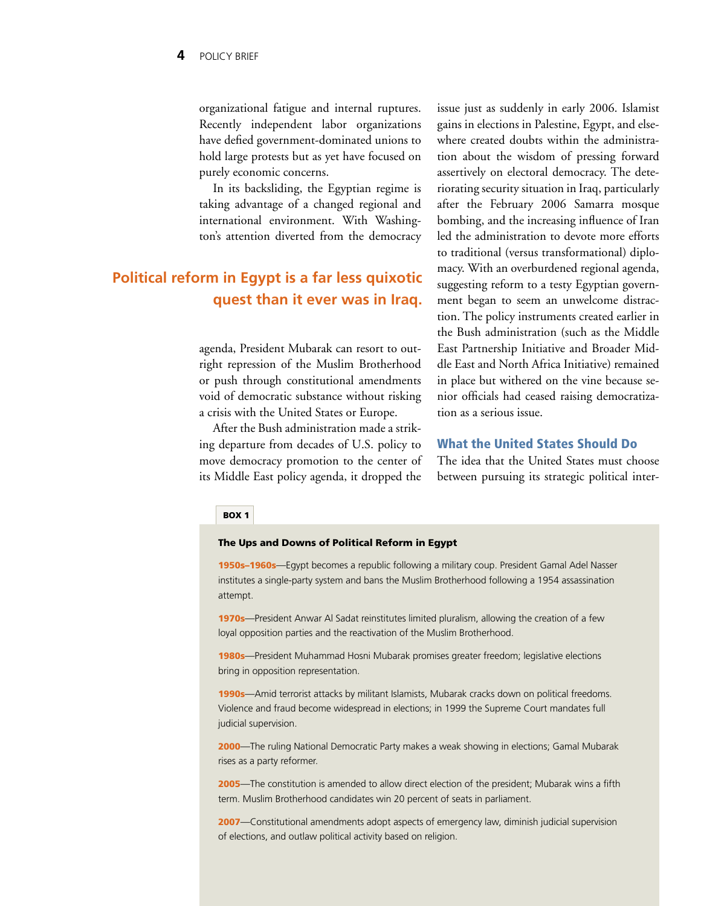organizational fatigue and internal ruptures. Recently independent labor organizations have defied government-dominated unions to hold large protests but as yet have focused on purely economic concerns.

In its backsliding, the Egyptian regime is taking advantage of a changed regional and international environment. With Washington's attention diverted from the democracy

## **Political reform in Egypt is a far less quixotic quest than it ever was in Iraq.**

agenda, President Mubarak can resort to outright repression of the Muslim Brotherhood or push through constitutional amendments void of democratic substance without risking a crisis with the United States or Europe.

After the Bush administration made a striking departure from decades of U.S. policy to move democracy promotion to the center of its Middle East policy agenda, it dropped the issue just as suddenly in early 2006. Islamist gains in elections in Palestine, Egypt, and elsewhere created doubts within the administration about the wisdom of pressing forward assertively on electoral democracy. The deteriorating security situation in Iraq, particularly after the February 2006 Samarra mosque bombing, and the increasing influence of Iran led the administration to devote more efforts to traditional (versus transformational) diplomacy. With an overburdened regional agenda, suggesting reform to a testy Egyptian government began to seem an unwelcome distraction. The policy instruments created earlier in the Bush administration (such as the Middle East Partnership Initiative and Broader Middle East and North Africa Initiative) remained in place but withered on the vine because senior officials had ceased raising democratization as a serious issue.

#### What the United States Should Do

The idea that the United States must choose between pursuing its strategic political inter-

#### Box 1

#### The Ups and Downs of Political Reform in Egypt

1950s–1960s—Egypt becomes a republic following a military coup. President Gamal Adel Nasser institutes a single-party system and bans the Muslim Brotherhood following a 1954 assassination attempt.

1970s—President Anwar Al Sadat reinstitutes limited pluralism, allowing the creation of a few loyal opposition parties and the reactivation of the Muslim Brotherhood.

1980s-President Muhammad Hosni Mubarak promises greater freedom; legislative elections bring in opposition representation.

1990s—Amid terrorist attacks by militant Islamists, Mubarak cracks down on political freedoms. Violence and fraud become widespread in elections; in 1999 the Supreme Court mandates full judicial supervision.

2000—The ruling National Democratic Party makes a weak showing in elections; Gamal Mubarak rises as a party reformer.

2005—The constitution is amended to allow direct election of the president; Mubarak wins a fifth term. Muslim Brotherhood candidates win 20 percent of seats in parliament.

2007—Constitutional amendments adopt aspects of emergency law, diminish judicial supervision of elections, and outlaw political activity based on religion.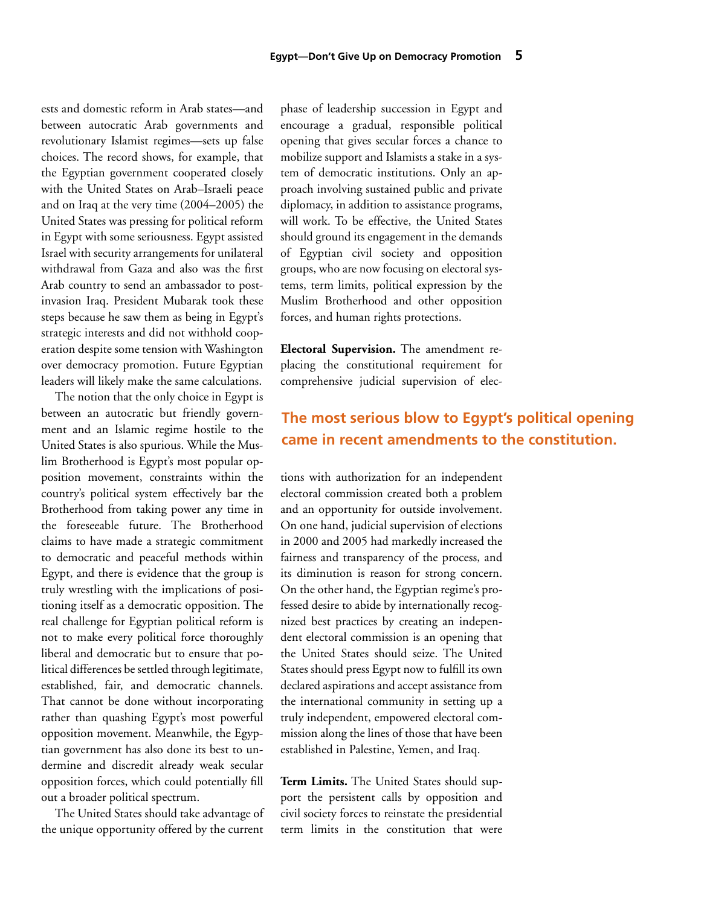ests and domestic reform in Arab states—and between autocratic Arab governments and revolutionary Islamist regimes—sets up false choices. The record shows, for example, that the Egyptian government cooperated closely with the United States on Arab–Israeli peace and on Iraq at the very time (2004–2005) the United States was pressing for political reform in Egypt with some seriousness. Egypt assisted Israel with security arrangements for unilateral withdrawal from Gaza and also was the first Arab country to send an ambassador to postinvasion Iraq. President Mubarak took these steps because he saw them as being in Egypt's strategic interests and did not withhold cooperation despite some tension with Washington over democracy promotion. Future Egyptian leaders will likely make the same calculations.

The notion that the only choice in Egypt is between an autocratic but friendly government and an Islamic regime hostile to the United States is also spurious. While the Muslim Brotherhood is Egypt's most popular opposition movement, constraints within the country's political system effectively bar the Brotherhood from taking power any time in the foreseeable future. The Brotherhood claims to have made a strategic commitment to democratic and peaceful methods within Egypt, and there is evidence that the group is truly wrestling with the implications of positioning itself as a democratic opposition. The real challenge for Egyptian political reform is not to make every political force thoroughly liberal and democratic but to ensure that political differences be settled through legitimate, established, fair, and democratic channels. That cannot be done without incorporating rather than quashing Egypt's most powerful opposition movement. Meanwhile, the Egyptian government has also done its best to undermine and discredit already weak secular opposition forces, which could potentially fill out a broader political spectrum.

The United States should take advantage of the unique opportunity offered by the current

phase of leadership succession in Egypt and encourage a gradual, responsible political opening that gives secular forces a chance to mobilize support and Islamists a stake in a system of democratic institutions. Only an approach involving sustained public and private diplomacy, in addition to assistance programs, will work. To be effective, the United States should ground its engagement in the demands of Egyptian civil society and opposition groups, who are now focusing on electoral systems, term limits, political expression by the Muslim Brotherhood and other opposition forces, and human rights protections.

**Electoral Supervision.** The amendment replacing the constitutional requirement for comprehensive judicial supervision of elec-

## **The most serious blow to Egypt's political opening came in recent amendments to the constitution.**

tions with authorization for an independent electoral commission created both a problem and an opportunity for outside involvement. On one hand, judicial supervision of elections in 2000 and 2005 had markedly increased the fairness and transparency of the process, and its diminution is reason for strong concern. On the other hand, the Egyptian regime's professed desire to abide by internationally recognized best practices by creating an independent electoral commission is an opening that the United States should seize. The United States should press Egypt now to fulfill its own declared aspirations and accept assistance from the international community in setting up a truly independent, empowered electoral commission along the lines of those that have been established in Palestine, Yemen, and Iraq.

**Term Limits.** The United States should support the persistent calls by opposition and civil society forces to reinstate the presidential term limits in the constitution that were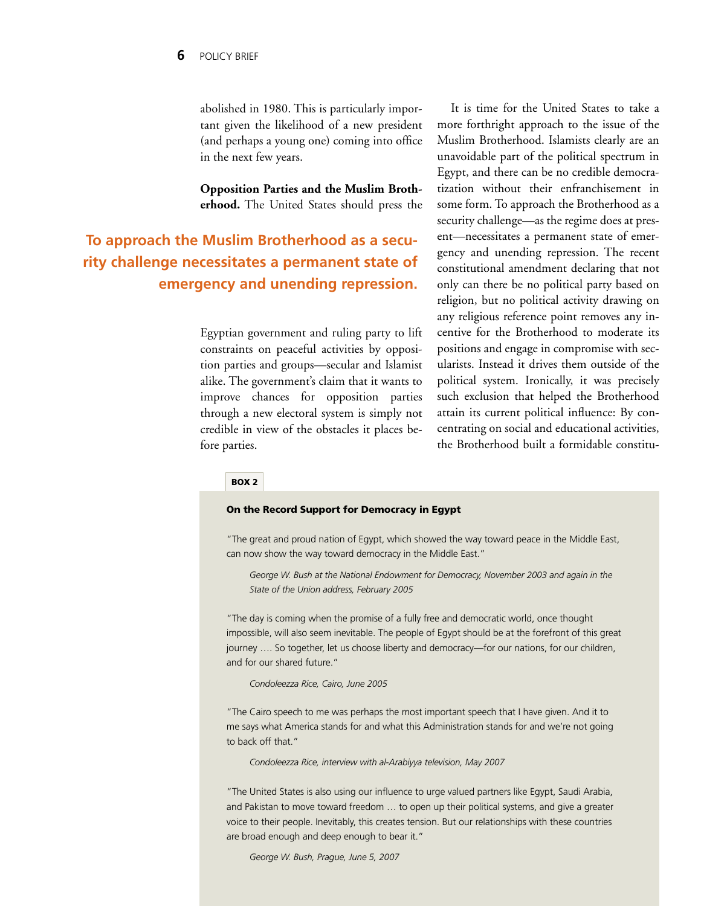abolished in 1980. This is particularly important given the likelihood of a new president (and perhaps a young one) coming into office in the next few years.

**Opposition Parties and the Muslim Brotherhood.** The United States should press the

## **To approach the Muslim Brotherhood as a security challenge necessitates a permanent state of emergency and unending repression.**

Egyptian government and ruling party to lift constraints on peaceful activities by opposition parties and groups—secular and Islamist alike. The government's claim that it wants to improve chances for opposition parties through a new electoral system is simply not credible in view of the obstacles it places before parties.

It is time for the United States to take a more forthright approach to the issue of the Muslim Brotherhood. Islamists clearly are an unavoidable part of the political spectrum in Egypt, and there can be no credible democratization without their enfranchisement in some form. To approach the Brotherhood as a security challenge—as the regime does at present—necessitates a permanent state of emergency and unending repression. The recent constitutional amendment declaring that not only can there be no political party based on religion, but no political activity drawing on any religious reference point removes any incentive for the Brotherhood to moderate its positions and engage in compromise with secularists. Instead it drives them outside of the political system. Ironically, it was precisely such exclusion that helped the Brotherhood attain its current political influence: By concentrating on social and educational activities, the Brotherhood built a formidable constitu-

#### Box 2

#### On the Record Support for Democracy in Egypt

"The great and proud nation of Egypt, which showed the way toward peace in the Middle East, can now show the way toward democracy in the Middle East."

*George W. Bush at the National Endowment for Democracy, November 2003 and again in the State of the Union address, February 2005*

"The day is coming when the promise of a fully free and democratic world, once thought impossible, will also seem inevitable. The people of Egypt should be at the forefront of this great journey …. So together, let us choose liberty and democracy—for our nations, for our children, and for our shared future."

*Condoleezza Rice, Cairo, June 2005*

"The Cairo speech to me was perhaps the most important speech that I have given. And it to me says what America stands for and what this Administration stands for and we're not going to back off that."

*Condoleezza Rice, interview with al-Arabiyya television, May 2007*

"The United States is also using our influence to urge valued partners like Egypt, Saudi Arabia, and Pakistan to move toward freedom … to open up their political systems, and give a greater voice to their people. Inevitably, this creates tension. But our relationships with these countries are broad enough and deep enough to bear it."

*George W. Bush, Prague, June 5, 2007*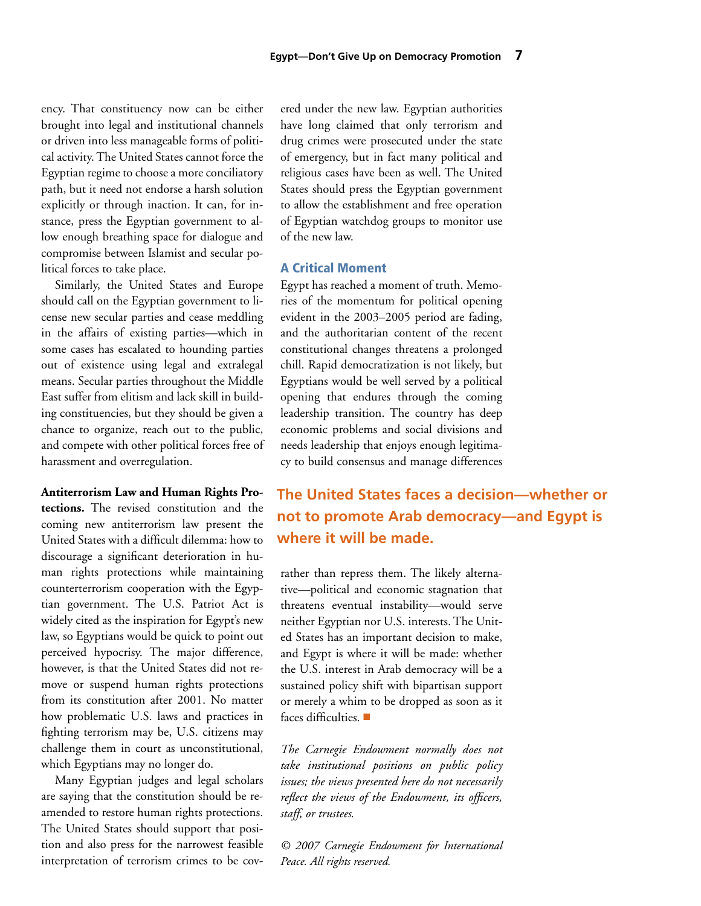ency. That constituency now can be either brought into legal and institutional channels or driven into less manageable forms of political activity. The United States cannot force the Egyptian regime to choose a more conciliatory path, but it need not endorse a harsh solution explicitly or through inaction. It can, for instance, press the Egyptian government to allow enough breathing space for dialogue and compromise between Islamist and secular political forces to take place.

Similarly, the United States and Europe should call on the Egyptian government to license new secular parties and cease meddling in the affairs of existing parties—which in some cases has escalated to hounding parties out of existence using legal and extralegal means. Secular parties throughout the Middle East suffer from elitism and lack skill in building constituencies, but they should be given a chance to organize, reach out to the public, and compete with other political forces free of harassment and overregulation.

**Antiterrorism Law and Human Rights Protections.** The revised constitution and the coming new antiterrorism law present the United States with a difficult dilemma: how to discourage a significant deterioration in human rights protections while maintaining counterterrorism cooperation with the Egyptian government. The U.S. Patriot Act is widely cited as the inspiration for Egypt's new law, so Egyptians would be quick to point out perceived hypocrisy. The major difference, however, is that the United States did not remove or suspend human rights protections from its constitution after 2001. No matter how problematic U.S. laws and practices in fighting terrorism may be, U.S. citizens may challenge them in court as unconstitutional, which Egyptians may no longer do.

Many Egyptian judges and legal scholars are saying that the constitution should be reamended to restore human rights protections. The United States should support that position and also press for the narrowest feasible interpretation of terrorism crimes to be covered under the new law. Egyptian authorities have long claimed that only terrorism and drug crimes were prosecuted under the state of emergency, but in fact many political and religious cases have been as well. The United States should press the Egyptian government to allow the establishment and free operation of Egyptian watchdog groups to monitor use of the new law.

## A Critical Moment

Egypt has reached a moment of truth. Memories of the momentum for political opening evident in the 2003–2005 period are fading, and the authoritarian content of the recent constitutional changes threatens a prolonged chill. Rapid democratization is not likely, but Egyptians would be well served by a political opening that endures through the coming leadership transition. The country has deep economic problems and social divisions and needs leadership that enjoys enough legitimacy to build consensus and manage differences

## **The United States faces a decision—whether or not to promote Arab democracy—and Egypt is where it will be made.**

rather than repress them. The likely alternative—political and economic stagnation that threatens eventual instability—would serve neither Egyptian nor U.S. interests. The United States has an important decision to make, and Egypt is where it will be made: whether the U.S. interest in Arab democracy will be a sustained policy shift with bipartisan support or merely a whim to be dropped as soon as it faces difficulties.  $\blacksquare$ 

*The Carnegie Endowment normally does not take institutional positions on public policy issues; the views presented here do not necessarily reflect the views of the Endowment, its officers, staff, or trustees.*

*© 2007 Carnegie Endowment for International Peace. All rights reserved.*